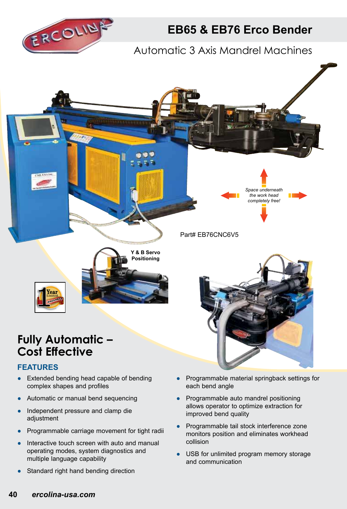

## **EB65 & EB76 Erco Bender**

### Automatic 3 Axis Mandrel Machines



# **Cost Effective**

#### **FEATURES**

- Extended bending head capable of bending complex shapes and profiles
- Automatic or manual bend sequencing
- Independent pressure and clamp die adjustment
- Programmable carriage movement for tight radii
- Interactive touch screen with auto and manual operating modes, system diagnostics and multiple language capability
- Standard right hand bending direction
- Programmable material springback settings for each bend angle
- Programmable auto mandrel positioning allows operator to optimize extraction for improved bend quality
- Programmable tail stock interference zone monitors position and eliminates workhead collision
- USB for unlimited program memory storage and communication